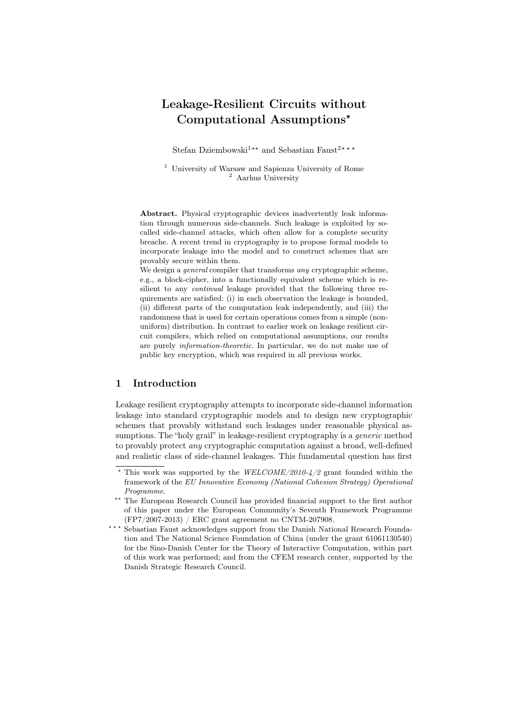# Leakage-Resilient Circuits without Computational Assumptions*<sup>⋆</sup>*

Stefan Dziembowski<sup>1</sup><sup>*★★</sup>* and Sebastian Faust<sup>2</sup><sup>*\** \* *\**</sup></sup>

<sup>1</sup> University of Warsaw and Sapienza University of Rome  $^2$  Aarhus University

Abstract. Physical cryptographic devices inadvertently leak information through numerous side-channels. Such leakage is exploited by socalled side-channel attacks, which often allow for a complete security breache. A recent trend in cryptography is to propose formal models to incorporate leakage into the model and to construct schemes that are provably secure within them.

We design a *general* compiler that transforms *any* cryptographic scheme, e.g., a block-cipher, into a functionally equivalent scheme which is resilient to any *continual* leakage provided that the following three requirements are satisfied: (i) in each observation the leakage is bounded, (ii) different parts of the computation leak independently, and (iii) the randomness that is used for certain operations comes from a simple (nonuniform) distribution. In contrast to earlier work on leakage resilient circuit compilers, which relied on computational assumptions, our results are purely *information-theoretic*. In particular, we do not make use of public key encryption, which was required in all previous works.

## 1 Introduction

Leakage resilient cryptography attempts to incorporate side-channel information leakage into standard cryptographic models and to design new cryptographic schemes that provably withstand such leakages under reasonable physical assumptions. The "holy grail" in leakage-resilient cryptography is a *generic* method to provably protect *any* cryptographic computation against a broad, well-defined and realistic class of side-channel leakages. This fundamental question has first

*<sup>⋆</sup>* This work was supported by the *WELCOME/2010-4/2* grant founded within the framework of the *EU Innovative Economy (National Cohesion Strategy) Operational Programme*.

*<sup>⋆⋆</sup>* The European Research Council has provided financial support to the first author of this paper under the European Community's Seventh Framework Programme (FP7/2007-2013) / ERC grant agreement no CNTM-207908.

**<sup>&</sup>lt;sup>\*\*\*</sup>** Sebastian Faust acknowledges support from the Danish National Research Foundation and The National Science Foundation of China (under the grant 61061130540) for the Sino-Danish Center for the Theory of Interactive Computation, within part of this work was performed; and from the CFEM research center, supported by the Danish Strategic Research Council.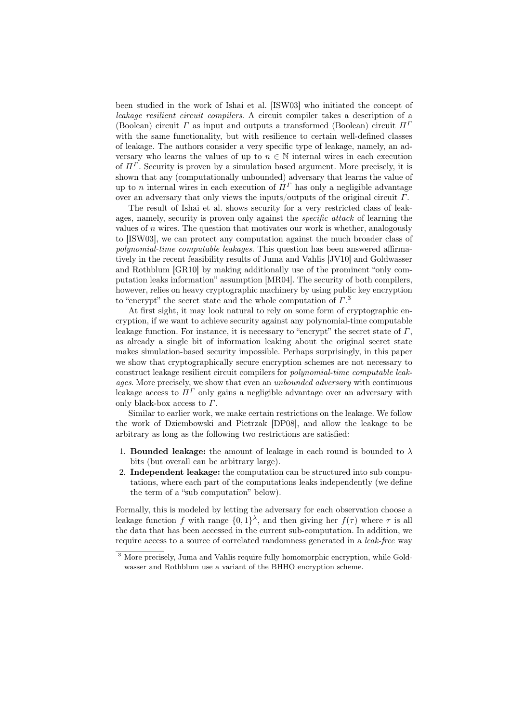been studied in the work of Ishai et al. [ISW03] who initiated the concept of *leakage resilient circuit compilers*. A circuit compiler takes a description of a (Boolean) circuit *Γ* as input and outputs a transformed (Boolean) circuit *Π<sup>Γ</sup>* with the same functionality, but with resilience to certain well-defined classes of leakage. The authors consider a very specific type of leakage, namely, an adversary who learns the values of up to  $n \in \mathbb{N}$  internal wires in each execution of  $\Pi^{\Gamma}$ . Security is proven by a simulation based argument. More precisely, it is shown that any (computationally unbounded) adversary that learns the value of up to *n* internal wires in each execution of  $\Pi^{\Gamma}$  has only a negligible advantage over an adversary that only views the inputs/outputs of the original circuit *Γ*.

The result of Ishai et al. shows security for a very restricted class of leakages, namely, security is proven only against the *specific attack* of learning the values of *n* wires. The question that motivates our work is whether, analogously to [ISW03], we can protect any computation against the much broader class of *polynomial-time computable leakages*. This question has been answered affirmatively in the recent feasibility results of Juma and Vahlis [JV10] and Goldwasser and Rothblum [GR10] by making additionally use of the prominent "only computation leaks information" assumption [MR04]. The security of both compilers, however, relies on heavy cryptographic machinery by using public key encryption to "encrypt" the secret state and the whole computation of *Γ*. 3

At first sight, it may look natural to rely on some form of cryptographic encryption, if we want to achieve security against any polynomial-time computable leakage function. For instance, it is necessary to "encrypt" the secret state of *Γ*, as already a single bit of information leaking about the original secret state makes simulation-based security impossible. Perhaps surprisingly, in this paper we show that cryptographically secure encryption schemes are not necessary to construct leakage resilient circuit compilers for *polynomial-time computable leakages*. More precisely, we show that even an *unbounded adversary* with continuous leakage access to  $\Pi^{\Gamma}$  only gains a negligible advantage over an adversary with only black-box access to *Γ*.

Similar to earlier work, we make certain restrictions on the leakage. We follow the work of Dziembowski and Pietrzak [DP08], and allow the leakage to be arbitrary as long as the following two restrictions are satisfied:

- 1. **Bounded leakage:** the amount of leakage in each round is bounded to  $\lambda$ bits (but overall can be arbitrary large).
- 2. Independent leakage: the computation can be structured into sub computations, where each part of the computations leaks independently (we define the term of a "sub computation" below).

Formally, this is modeled by letting the adversary for each observation choose a leakage function *f* with range  $\{0,1\}^{\lambda}$ , and then giving her  $f(\tau)$  where  $\tau$  is all the data that has been accessed in the current sub-computation. In addition, we require access to a source of correlated randomness generated in a *leak-free* way

<sup>3</sup> More precisely, Juma and Vahlis require fully homomorphic encryption, while Goldwasser and Rothblum use a variant of the BHHO encryption scheme.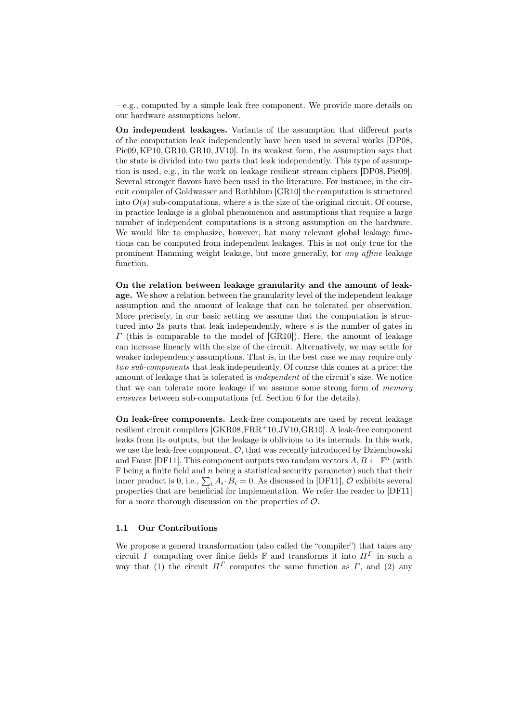– e.g., computed by a simple leak free component. We provide more details on our hardware assumptions below.

On independent leakages. Variants of the assumption that different parts of the computation leak independently have been used in several works [DP08, Pie09, KP10, GR10, GR10, JV10]. In its weakest form, the assumption says that the state is divided into two parts that leak independently. This type of assumption is used, e.g., in the work on leakage resilient stream ciphers [DP08, Pie09]. Several stronger flavors have been used in the literature. For instance, in the circuit compiler of Goldwasser and Rothblum [GR10] the computation is structured into  $O(s)$  sub-computations, where *s* is the size of the original circuit. Of course, in practice leakage is a global phenomenon and assumptions that require a large number of independent computations is a strong assumption on the hardware. We would like to emphasize, however, hat many relevant global leakage functions can be computed from independent leakages. This is not only true for the prominent Hamming weight leakage, but more generally, for *any affine* leakage function.

On the relation between leakage granularity and the amount of leakage. We show a relation between the granularity level of the independent leakage assumption and the amount of leakage that can be tolerated per observation. More precisely, in our basic setting we assume that the computation is structured into 2*s* parts that leak independently, where *s* is the number of gates in *Γ* (this is comparable to the model of [GR10]). Here, the amount of leakage can increase linearly with the size of the circuit. Alternatively, we may settle for weaker independency assumptions. That is, in the best case we may require only *two sub-components* that leak independently. Of course this comes at a price: the amount of leakage that is tolerated is *independent* of the circuit's size. We notice that we can tolerate more leakage if we assume some strong form of *memory erasures* between sub-computations (cf. Section 6 for the details).

On leak-free components. Leak-free components are used by recent leakage resilient circuit compilers [GKR08,FRR<sup>+</sup>10,JV10,GR10]. A leak-free component leaks from its outputs, but the leakage is oblivious to its internals. In this work, we use the leak-free component, *O*, that was recently introduced by Dziembowski and Faust [DF11]. This component outputs two random vectors  $A, B \leftarrow \mathbb{F}^n$  (with F being a finite field and *n* being a statistical security parameter) such that their inner product is 0, i.e.,  $\sum_i A_i \cdot B_i = 0$ . As discussed in [DF11],  $\hat{O}$  exhibits several properties that are beneficial for implementation. We refer the reader to [DF11] for a more thorough discussion on the properties of *O*.

### 1.1 Our Contributions

We propose a general transformation (also called the "compiler") that takes any circuit *Γ* computing over finite fields  $\mathbb{F}$  and transforms it into  $\Pi^{\Gamma}$  in such a way that (1) the circuit  $\Pi^{\Gamma}$  computes the same function as  $\Gamma$ , and (2) any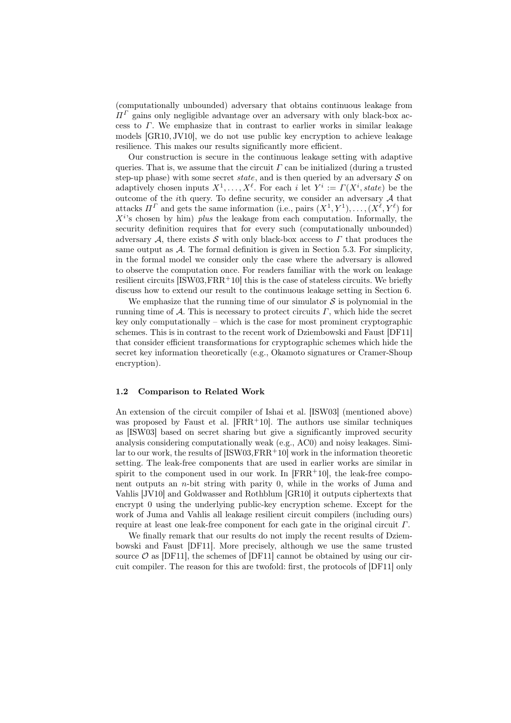(computationally unbounded) adversary that obtains continuous leakage from *Π<sup>Γ</sup>* gains only negligible advantage over an adversary with only black-box access to *Γ*. We emphasize that in contrast to earlier works in similar leakage models [GR10, JV10], we do not use public key encryption to achieve leakage resilience. This makes our results significantly more efficient.

Our construction is secure in the continuous leakage setting with adaptive queries. That is, we assume that the circuit  $\Gamma$  can be initialized (during a trusted step-up phase) with some secret *state*, and is then queried by an adversary *S* on adaptively chosen inputs  $X^1, \ldots, X^{\ell}$ . For each *i* let  $Y^i := \Gamma(X^i, state)$  be the outcome of the *i*th query. To define security, we consider an adversary *A* that attacks  $\Pi^{\Gamma}$  and gets the same information (i.e., pairs  $(X^1, Y^1), \ldots, (X^{\ell}, Y^{\ell})$  for *X<sup>i</sup>* 's chosen by him) *plus* the leakage from each computation. Informally, the security definition requires that for every such (computationally unbounded) adversary *A*, there exists *S* with only black-box access to *Γ* that produces the same output as *A*. The formal definition is given in Section 5.3. For simplicity, in the formal model we consider only the case where the adversary is allowed to observe the computation once. For readers familiar with the work on leakage resilient circuits  $[ISW03, FRR+10]$  this is the case of stateless circuits. We briefly discuss how to extend our result to the continuous leakage setting in Section 6.

We emphasize that the running time of our simulator  $S$  is polynomial in the running time of *A*. This is necessary to protect circuits *Γ*, which hide the secret key only computationally – which is the case for most prominent cryptographic schemes. This is in contrast to the recent work of Dziembowski and Faust [DF11] that consider efficient transformations for cryptographic schemes which hide the secret key information theoretically (e.g., Okamoto signatures or Cramer-Shoup encryption).

### 1.2 Comparison to Related Work

An extension of the circuit compiler of Ishai et al. [ISW03] (mentioned above) was proposed by Faust et al.  $[FRR+10]$ . The authors use similar techniques as [ISW03] based on secret sharing but give a significantly improved security analysis considering computationally weak (e.g., AC0) and noisy leakages. Similar to our work, the results of [ISW03, FRR<sup>+</sup>10] work in the information theoretic setting. The leak-free components that are used in earlier works are similar in spirit to the component used in our work. In  $[FRR+10]$ , the leak-free component outputs an *n*-bit string with parity 0, while in the works of Juma and Vahlis [JV10] and Goldwasser and Rothblum [GR10] it outputs ciphertexts that encrypt 0 using the underlying public-key encryption scheme. Except for the work of Juma and Vahlis all leakage resilient circuit compilers (including ours) require at least one leak-free component for each gate in the original circuit *Γ*.

We finally remark that our results do not imply the recent results of Dziembowski and Faust [DF11]. More precisely, although we use the same trusted source  $\mathcal O$  as [DF11], the schemes of [DF11] cannot be obtained by using our circuit compiler. The reason for this are twofold: first, the protocols of [DF11] only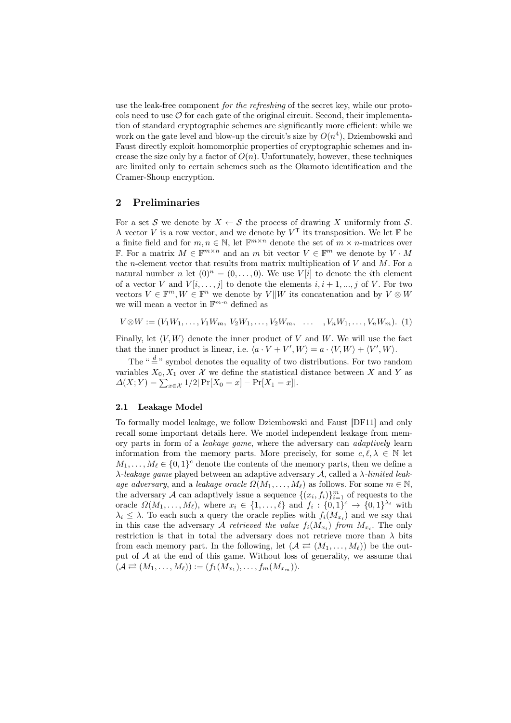use the leak-free component *for the refreshing* of the secret key, while our protocols need to use  $\mathcal O$  for each gate of the original circuit. Second, their implementation of standard cryptographic schemes are significantly more efficient: while we work on the gate level and blow-up the circuit's size by  $O(n^4)$ , Dziembowski and Faust directly exploit homomorphic properties of cryptographic schemes and increase the size only by a factor of  $O(n)$ . Unfortunately, however, these techniques are limited only to certain schemes such as the Okamoto identification and the Cramer-Shoup encryption.

## 2 Preliminaries

For a set *S* we denote by  $X \leftarrow S$  the process of drawing *X* uniformly from *S*. A vector *V* is a row vector, and we denote by  $V<sup>T</sup>$  its transposition. We let  $\mathbb F$  be a finite field and for  $m, n \in \mathbb{N}$ , let  $\mathbb{F}^{m \times n}$  denote the set of  $m \times n$ -matrices over F. For a matrix  $M \in \mathbb{F}^{m \times n}$  and an  $m$  bit vector  $V \in \mathbb{F}^m$  we denote by  $V \cdot M$ the *n*-element vector that results from matrix multiplication of *V* and *M*. For a natural number *n* let  $(0)^n = (0, \ldots, 0)$ . We use  $V[i]$  to denote the *i*th element of a vector *V* and  $V[i, \ldots, j]$  to denote the elements  $i, i + 1, \ldots, j$  of *V*. For two vectors  $V \in \mathbb{F}^m, W \in \mathbb{F}^n$  we denote by  $V || W$  its concatenation and by  $V \otimes W$ we will mean a vector in  $\mathbb{F}^{m \cdot n}$  defined as

$$
V \otimes W := (V_1 W_1, \dots, V_1 W_m, V_2 W_1, \dots, V_2 W_m, \dots, V_n W_1, \dots, V_n W_m). (1)
$$

Finally, let *⟨V, W⟩* denote the inner product of *V* and *W*. We will use the fact that the inner product is linear, i.e.  $\langle a \cdot V + V', W \rangle = a \cdot \langle V, W \rangle + \langle V', W \rangle$ .

The "  $\overset{d}{=}$  " symbol denotes the equality of two distributions. For two random variables  $X_0, X_1$  over  $\mathcal X$  we define the statistical distance between X and Y as  $\Delta(X;Y) = \sum_{x \in \mathcal{X}} 1/2 | \Pr[X_0 = x] - \Pr[X_1 = x]|.$ 

## 2.1 Leakage Model

To formally model leakage, we follow Dziembowski and Faust [DF11] and only recall some important details here. We model independent leakage from memory parts in form of a *leakage game*, where the adversary can *adaptively* learn information from the memory parts. More precisely, for some  $c, \ell, \lambda \in \mathbb{N}$  let  $M_1, \ldots, M_\ell \in \{0,1\}^c$  denote the contents of the memory parts, then we define a *λ-leakage game* played between an adaptive adversary *A*, called a *λ-limited leakage adversary*, and a *leakage oracle*  $\Omega(M_1, \ldots, M_\ell)$  as follows. For some  $m \in \mathbb{N}$ , the adversary *A* can adaptively issue a sequence  $\{(x_i, f_i)\}_{i=1}^m$  of requests to the oracle  $\Omega(M_1,\ldots,M_\ell)$ , where  $x_i \in \{1,\ldots,\ell\}$  and  $f_i: \{0,1\}^c \to \{0,1\}^{\lambda_i}$  with  $\lambda_i \leq \lambda$ . To each such a query the oracle replies with  $f_i(M_{x_i})$  and we say that in this case the adversary *A retrieved the value*  $f_i(M_{x_i})$  *from*  $M_{x_i}$ . The only restriction is that in total the adversary does not retrieve more than  $\lambda$  bits from each memory part. In the following, let  $(A \rightleftarrows (M_1, \ldots, M_\ell))$  be the output of *A* at the end of this game. Without loss of generality, we assume that  $(A \rightleftarrows (M_1, \ldots, M_\ell)) := (f_1(M_{x_1}), \ldots, f_m(M_{x_m})).$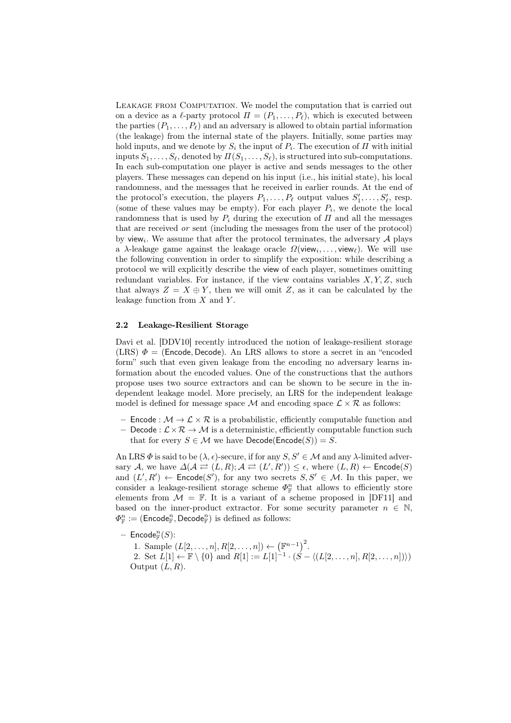Leakage from Computation. We model the computation that is carried out on a device as a  $\ell$ -party protocol  $\Pi = (P_1, \ldots, P_\ell)$ , which is executed between the parties  $(P_1, \ldots, P_\ell)$  and an adversary is allowed to obtain partial information (the leakage) from the internal state of the players. Initially, some parties may hold inputs, and we denote by  $S_i$  the input of  $P_i$ . The execution of  $\Pi$  with initial inputs  $S_1, \ldots, S_\ell$ , denoted by  $\Pi(S_1, \ldots, S_\ell)$ , is structured into sub-computations. In each sub-computation one player is active and sends messages to the other players. These messages can depend on his input (i.e., his initial state), his local randomness, and the messages that he received in earlier rounds. At the end of the protocol's execution, the players  $P_1, \ldots, P_\ell$  output values  $S'_1, \ldots, S'_\ell$ , resp. (some of these values may be empty). For each player  $P_i$ , we denote the local randomness that is used by  $P_i$  during the execution of  $\Pi$  and all the messages that are received *or* sent (including the messages from the user of the protocol) by view*<sup>i</sup>* . We assume that after the protocol terminates, the adversary *A* plays a *λ*-leakage game against the leakage oracle *Ω*(view*<sup>i</sup> , . . . ,* view*ℓ*). We will use the following convention in order to simplify the exposition: while describing a protocol we will explicitly describe the view of each player, sometimes omitting redundant variables. For instance, if the view contains variables *X, Y, Z*, such that always  $Z = X \oplus Y$ , then we will omit *Z*, as it can be calculated by the leakage function from *X* and *Y* .

## 2.2 Leakage-Resilient Storage

Davi et al. [DDV10] recently introduced the notion of leakage-resilient storage (LRS)  $\Phi =$  (**Encode**, **Decode**). An LRS allows to store a secret in an "encoded form" such that even given leakage from the encoding no adversary learns information about the encoded values. One of the constructions that the authors propose uses two source extractors and can be shown to be secure in the independent leakage model. More precisely, an LRS for the independent leakage model is defined for message space  $M$  and encoding space  $\mathcal{L} \times \mathcal{R}$  as follows:

- $-$  Encode :  $\mathcal{M} \to \mathcal{L} \times \mathcal{R}$  is a probabilistic, efficiently computable function and
- Decode :  $\mathcal{L} \times \mathcal{R} \to \mathcal{M}$  is a deterministic, efficiently computable function such that for every  $S \in \mathcal{M}$  we have  $\mathsf{Decode}(\mathsf{Encode}(S)) = S$ .

An LRS  $\Phi$  is said to be  $(\lambda, \epsilon)$ -secure, if for any  $S, S' \in \mathcal{M}$  and any  $\lambda$ -limited adver- $\text{c}$  *A*, we have  $\Delta(\mathcal{A} \rightleftarrows (L,R); \mathcal{A} \rightleftarrows (L',R')) \leq \epsilon$ , where  $(L,R) \leftarrow \mathsf{Encode}(S)$ and  $(L', R') \leftarrow$  Encode $(S')$ , for any two secrets  $S, S' \in \mathcal{M}$ . In this paper, we consider a leakage-resilient storage scheme  $\Phi_{\mathbb{F}}^n$  that allows to efficiently store elements from  $\mathcal{M} = \mathbb{F}$ . It is a variant of a scheme proposed in [DF11] and based on the inner-product extractor. For some security parameter  $n \in \mathbb{N}$ ,  $\varPhi_{\mathbb{F}}^n := (\mathsf{Encode}_{\mathbb{F}}^n, \mathsf{Decode}_{\mathbb{F}}^n)$  is defined as follows:

 $-$  Encode<sup>n</sup><sub>*F*</sub> $(S)$ : F

1. Sample  $(L[2, ..., n], R[2, ..., n]) \leftarrow (\mathbb{F}^{n-1})^2$ . 2. Set  $L[1] \leftarrow \mathbb{F} \setminus \{0\}$  and  $R[1] := L[1]^{-1} \cdot (\hat{S} - \langle (L[2, \ldots, n], R[2, \ldots, n]) \rangle)$ Output (*L, R*).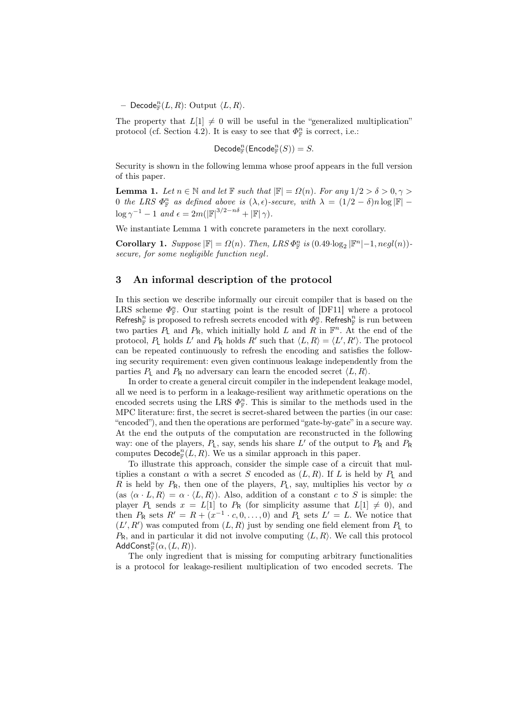$-$  Decode<sup>n</sup><sub>*F*</sub></sub> $(L, R)$ : Output  $\langle L, R \rangle$ .

The property that  $L[1] \neq 0$  will be useful in the "generalized multiplication" protocol (cf. Section 4.2). It is easy to see that  $\Phi_{\mathbb{F}}^n$  is correct, i.e.:

$$
\textsf{Decode}^n_{\mathbb{F}}(\textsf{Encode}^n_{\mathbb{F}}(S))=S.
$$

Security is shown in the following lemma whose proof appears in the full version of this paper.

**Lemma 1.** Let  $n \in \mathbb{N}$  and let  $\mathbb{F}$  such that  $|\mathbb{F}| = \Omega(n)$ . For any  $1/2 > \delta > 0, \gamma > \delta$ 0 *the LRS*  $\Phi_{\mathbb{F}}^n$  *as defined above is*  $(\lambda, \epsilon)$ *-secure, with*  $\lambda = (1/2 - \delta)n \log |\mathbb{F}|$  –  $\log \gamma^{-1} - 1$  *and*  $\epsilon = 2m(|\mathbb{F}|^{3/2 - n\delta} + |\mathbb{F}| \gamma)$ .

We instantiate Lemma 1 with concrete parameters in the next corollary.

Corollary 1. *Suppose*  $|\mathbb{F}| = \Omega(n)$ . *Then, LRS*  $\Phi_{\mathbb{F}}^n$  *is* (0.49*·*log<sub>2</sub>  $|\mathbb{F}^n| - 1$ *, negl*(*n*))*secure, for some negligible function negl.*

## 3 An informal description of the protocol

In this section we describe informally our circuit compiler that is based on the LRS scheme  $\Phi_{\mathbb{F}}^n$ . Our starting point is the result of [DF11] where a protocol  $\mathsf{Refresh}^n_{\mathbb{F}}$  is proposed to refresh secrets encoded with  $\Phi^n_{\mathbb{F}}$ . Refresh<sub> $\mathbb{F}$ </sub> is run between two parties  $P_L$  and  $P_R$ , which initially hold  $L$  and  $\overline{R}$  in  $\mathbb{F}^n$ . At the end of the protocol,  $P_L$  holds  $L'$  and  $P_R$  holds  $R'$  such that  $\langle L, R \rangle = \langle L', R' \rangle$ . The protocol can be repeated continuously to refresh the encoding and satisfies the following security requirement: even given continuous leakage independently from the parties  $P_1$  and  $P_R$  no adversary can learn the encoded secret  $\langle L, R \rangle$ .

In order to create a general circuit compiler in the independent leakage model, all we need is to perform in a leakage-resilient way arithmetic operations on the encoded secrets using the LRS  $\Phi_{\mathbb{F}}^n$ . This is similar to the methods used in the MPC literature: first, the secret is secret-shared between the parties (in our case: "encoded"), and then the operations are performed "gate-by-gate" in a secure way. At the end the outputs of the computation are reconstructed in the following way: one of the players, *P*L, say, sends his share *L ′* of the output to *P*<sup>R</sup> and *P*<sup>R</sup> computes  $\mathsf{Decode}^n_{\mathbb{F}}(L,R)$ . We us a similar approach in this paper.

To illustrate this approach, consider the simple case of a circuit that multiplies a constant  $\alpha$  with a secret *S* encoded as  $(L, R)$ . If *L* is held by  $P<sub>L</sub>$  and *R* is held by  $P_R$ , then one of the players,  $P_L$ , say, multiplies his vector by  $\alpha$  $(a \times \langle L, R \rangle = \alpha \cdot \langle L, R \rangle)$ . Also, addition of a constant *c* to *S* is simple: the player *P*<sub>L</sub> sends  $x = L[1]$  to *P*<sub>R</sub> (for simplicity assume that  $L[1] \neq 0$ ), and then  $P_R$  sets  $R' = R + (x^{-1} \cdot c, 0, \ldots, 0)$  and  $P_L$  sets  $L' = L$ . We notice that  $(L', R')$  was computed from  $(L, R)$  just by sending one field element from  $P_L$  to  $P_{\rm R}$ , and in particular it did not involve computing  $\langle L, R \rangle$ . We call this protocol  $\mathsf{AddConst}_\mathbb{F}^n(\alpha,(L,R)).$ 

The only ingredient that is missing for computing arbitrary functionalities is a protocol for leakage-resilient multiplication of two encoded secrets. The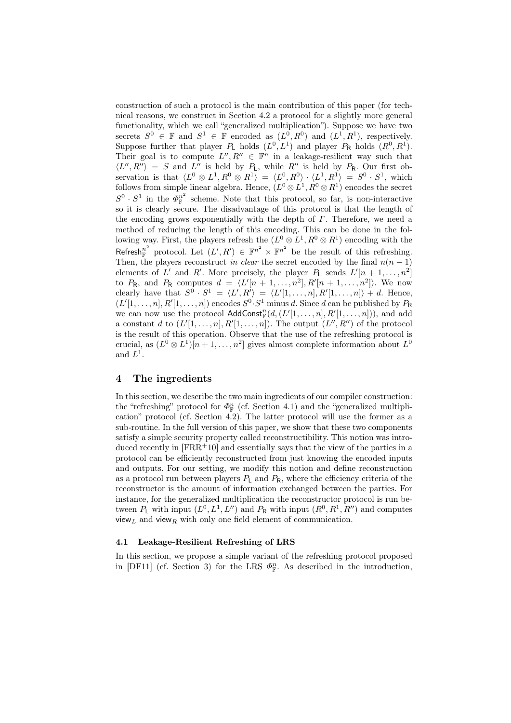construction of such a protocol is the main contribution of this paper (for technical reasons, we construct in Section 4.2 a protocol for a slightly more general functionality, which we call "generalized multiplication"). Suppose we have two secrets  $S^0 \in \mathbb{F}$  and  $S^1 \in \mathbb{F}$  encoded as  $(L^0, R^0)$  and  $(L^1, R^1)$ , respectively. Suppose further that player  $P_L$  holds  $(L^0, L^1)$  and player  $P_R$  holds  $(R^0, R^1)$ . Their goal is to compute  $L''$ ,  $R'' \in \mathbb{F}^n$  in a leakage-resilient way such that  $\langle L'', R'' \rangle = S$  and  $L''$  is held by  $P_L$ , while  $R''$  is held by  $P_R$ . Our first observation is that  $\langle L^0 \otimes L^1, R^0 \otimes R^1 \rangle = \langle L^0, R^0 \rangle \cdot \langle L^1, R^1 \rangle = S^0 \cdot S^1$ , which follows from simple linear algebra. Hence,  $(L^0 \otimes L^1, R^0 \otimes R^1)$  encodes the secret  $S^0 \cdot S^1$  in the  $\Phi_{\mathbb{F}}^{n^2}$  $n<sup>n</sup>$  scheme. Note that this protocol, so far, is non-interactive so it is clearly secure. The disadvantage of this protocol is that the length of the encoding grows exponentially with the depth of *Γ*. Therefore, we need a method of reducing the length of this encoding. This can be done in the following way. First, the players refresh the  $(L^0 \otimes L^1, R^0 \otimes R^1)$  encoding with the Refresh<sup>n<sup>2</sup></sup> protocol. Let  $(L', R') \in \mathbb{F}^{n^2} \times \mathbb{F}^{n^2}$  be the result of this refreshing. Then, the players reconstruct *in clear* the secret encoded by the final  $n(n-1)$ elements of *L'* and *R'*. More precisely, the player  $P_L$  sends  $L'[n+1,\ldots,n^2]$ to  $P_R$ , and  $P_R$  computes  $d = \langle L'[n+1,\ldots,n^2], R'[n+1,\ldots,n^2] \rangle$ . We now clearly have that  $S^0 \cdot S^1 = \langle L', R' \rangle = \langle L'[1, \ldots, n], R'[1, \ldots, n] \rangle + d$ . Hence,  $(L'[1, \ldots, n], R'[1, \ldots, n])$  encodes  $S^0 \cdot S^1$  minus *d*. Since *d* can be published by  $P_R$ we can now use the protocol  $\text{AddConst}_{\mathbb{F}}^{n}(d,(L'[1,\ldots,n],R'[1,\ldots,n]))$ , and add a constant *d* to  $(L'[1, \ldots, n], R'[1, \ldots, n])$ . The output  $(L'', R'')$  of the protocol is the result of this operation. Observe that the use of the refreshing protocol is crucial, as  $(L^0 \otimes L^1)[n+1, \ldots, n^2]$  gives almost complete information about  $L^0$ and  $L^1$ .

## 4 The ingredients

In this section, we describe the two main ingredients of our compiler construction: the "refreshing" protocol for  $\Phi_{\mathbb{F}}^n$  (cf. Section 4.1) and the "generalized multiplication" protocol (cf. Section 4.2). The latter protocol will use the former as a sub-routine. In the full version of this paper, we show that these two components satisfy a simple security property called reconstructibility. This notion was introduced recently in  $[FRR^+10]$  and essentially says that the view of the parties in a protocol can be efficiently reconstructed from just knowing the encoded inputs and outputs. For our setting, we modify this notion and define reconstruction as a protocol run between players  $P_L$  and  $P_R$ , where the efficiency criteria of the reconstructor is the amount of information exchanged between the parties. For instance, for the generalized multiplication the reconstructor protocol is run between  $P_L$  with input  $(L^0, L^1, L'')$  and  $P_R$  with input  $(R^0, R^1, R'')$  and computes view*<sup>L</sup>* and view*<sup>R</sup>* with only one field element of communication.

## 4.1 Leakage-Resilient Refreshing of LRS

In this section, we propose a simple variant of the refreshing protocol proposed in [DF11] (cf. Section 3) for the LRS  $\Phi_{\mathbb{F}}^n$ . As described in the introduction,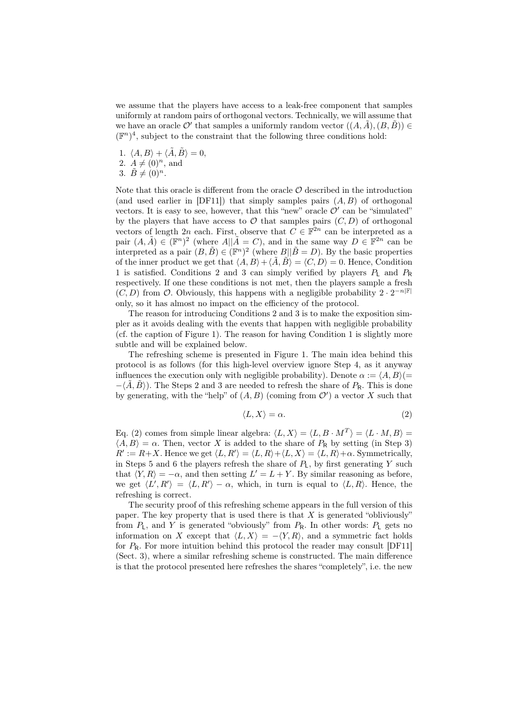we assume that the players have access to a leak-free component that samples uniformly at random pairs of orthogonal vectors. Technically, we will assume that we have an oracle  $\mathcal{O}'$  that samples a uniformly random vector  $((A, \tilde{A}), (B, \tilde{B})) \in$  $(\mathbb{F}^n)^4$ , subject to the constraint that the following three conditions hold:

1.  $\langle A, B \rangle + \langle \tilde{A}, \tilde{B} \rangle = 0$ , 2.  $A \neq (0)^n$ , and 3.  $\tilde{B} \neq (0)^n$ .

Note that this oracle is different from the oracle  $\mathcal O$  described in the introduction (and used earlier in [DF11]) that simply samples pairs (*A, B*) of orthogonal vectors. It is easy to see, however, that this "new" oracle  $\mathcal{O}'$  can be "simulated" by the players that have access to  $\mathcal O$  that samples pairs  $(C, D)$  of orthogonal vectors of length 2*n* each. First, observe that  $C \in \mathbb{F}^{2n}$  can be interpreted as a pair  $(A, \tilde{A}) \in (\mathbb{F}^n)^2$  (where  $A||\tilde{A} = C$ ), and in the same way  $D \in \mathbb{F}^{2n}$  can be interpreted as a pair  $(B, \tilde{B}) \in (\mathbb{F}^n)^2$  (where  $B||\tilde{B} = D$ ). By the basic properties of the inner product we get that  $\langle A, B \rangle + \langle \tilde{A}, \tilde{B} \rangle = \langle C, D \rangle = 0$ . Hence, Condition 1 is satisfied. Conditions 2 and 3 can simply verified by players *P*<sup>L</sup> and *P*<sup>R</sup> respectively. If one these conditions is not met, then the players sample a fresh  $(C, D)$  from  $\mathcal{O}$ . Obviously, this happens with a negligible probability  $2 \cdot 2^{-n|\mathbb{F}|}$ only, so it has almost no impact on the efficiency of the protocol.

The reason for introducing Conditions 2 and 3 is to make the exposition simpler as it avoids dealing with the events that happen with negligible probability (cf. the caption of Figure 1). The reason for having Condition 1 is slightly more subtle and will be explained below.

The refreshing scheme is presented in Figure 1. The main idea behind this protocol is as follows (for this high-level overview ignore Step 4, as it anyway influences the execution only with negligible probability). Denote  $\alpha := \langle A, B \rangle (=$  $-\langle \hat{A}, \hat{B} \rangle$ ). The Steps 2 and 3 are needed to refresh the share of  $P_R$ . This is done by generating, with the "help" of  $(A, B)$  (coming from  $\mathcal{O}'$ ) a vector *X* such that

$$
\langle L, X \rangle = \alpha. \tag{2}
$$

Eq. (2) comes from simple linear algebra:  $\langle L, X \rangle = \langle L, B \cdot M^T \rangle = \langle L \cdot M, B \rangle =$  $\langle A, B \rangle = \alpha$ . Then, vector *X* is added to the share of  $P_R$  by setting (in Step 3)  $R' := R + X$ . Hence we get  $\langle L, R' \rangle = \langle L, R \rangle + \langle L, X \rangle = \langle L, R \rangle + \alpha$ . Symmetrically, in Steps 5 and 6 the players refresh the share of *P*L, by first generating *Y* such that  $\langle Y, R \rangle = -\alpha$ , and then setting  $L' = L + Y$ . By similar reasoning as before, we get  $\langle L', R' \rangle = \langle L, R' \rangle - \alpha$ , which, in turn is equal to  $\langle L, R \rangle$ . Hence, the refreshing is correct.

The security proof of this refreshing scheme appears in the full version of this paper. The key property that is used there is that *X* is generated "obliviously" from  $P_L$ , and  $Y$  is generated "obviously" from  $P_R$ . In other words:  $P_L$  gets no information on *X* except that  $\langle L, X \rangle = -\langle Y, R \rangle$ , and a symmetric fact holds for  $P_R$ . For more intuition behind this protocol the reader may consult  $[DF11]$ (Sect. 3), where a similar refreshing scheme is constructed. The main difference is that the protocol presented here refreshes the shares "completely", i.e. the new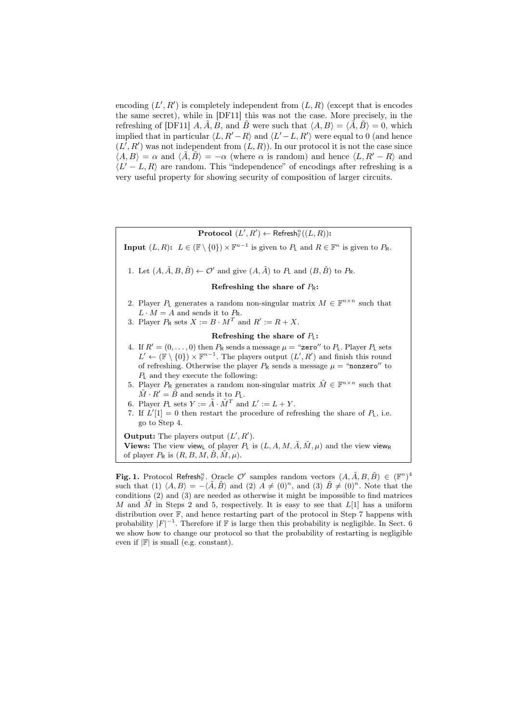encoding  $(L', R')$  is completely independent from  $(L, R)$  (except that is encodes the same secret), while in [DF11] this was not the case. More precisely, in the refreshing of [DF11]  $A, \tilde{A}, B$ , and  $\tilde{B}$  were such that  $\langle A, B \rangle = \langle \tilde{A}, \tilde{B} \rangle = 0$ , which implied that in particular  $\langle L, R' - R \rangle$  and  $\langle L' - L, R' \rangle$  were equal to 0 (and hence  $(L', R')$  was not independent from  $(L, R)$ ). In our protocol it is not the case since  $\langle A, B \rangle = \alpha$  and  $\langle \tilde{A}, \tilde{B} \rangle = -\alpha$  (where  $\alpha$  is random) and hence  $\langle L, R' - R \rangle$  and *⟨L ′ − L, R⟩* are random. This "independence" of encodings after refreshing is a very useful property for showing security of composition of larger circuits.

 $\mathbf{Protocol}(L', R') \leftarrow \mathsf{Refresh}_{\mathbb{F}}^n((L, R))$ :

**Input**  $(L, R)$ :  $L \in (\mathbb{F} \setminus \{0\}) \times \mathbb{F}^{n-1}$  is given to  $P_L$  and  $R \in \mathbb{F}^n$  is given to  $P_R$ .

1. Let  $(A, \tilde{A}, B, \tilde{B}) \leftarrow \mathcal{O}'$  and give  $(A, \tilde{A})$  to  $P_L$  and  $(B, \tilde{B})$  to  $P_R$ .

## Refreshing the share of *P*R:

- 2. Player  $P_L$  generates a random non-singular matrix  $M \in \mathbb{F}^{n \times n}$  such that  $L \cdot M = A$  and sends it to  $P_{\mathsf{R}}$ .
- 3. Player  $P_R$  sets  $X := B \cdot M^T$  and  $R' := R + X$ .

## Refreshing the share of *P*L:

- 4. If  $R' = (0, \ldots, 0)$  then  $P_{\mathsf{R}}$  sends a message  $\mu =$  "zero" to  $P_{\mathsf{L}}$ . Player  $P_{\mathsf{L}}$  sets  $L' \leftarrow (\mathbb{F} \setminus \{0\}) \times \mathbb{F}^{n-1}$ . The players output  $(L', R')$  and finish this round of refreshing. Otherwise the player  $P_R$  sends a message  $\mu =$  "nonzero" to *P*<sup>L</sup> and they execute the following:
- 5. Player  $P_R$  generates a random non-singular matrix  $\tilde{M} \in \mathbb{F}^{n \times n}$  such that  $\tilde{M} \cdot R' = \tilde{B}$  and sends it to  $P_L$ .
- 6. Player  $P_L$  sets  $Y := \tilde{A} \cdot \tilde{M}^T$  and  $L' := L + Y$ .
- 7. If  $L'[1] = 0$  then restart the procedure of refreshing the share of  $P_L$ , i.e. go to Step 4.

Output: The players output (*L ′ , R′* ). **Views:** The view view<sub>L</sub> of player  $P_L$  is  $(L, A, M, \tilde{A}, \tilde{M}, \mu)$  and the view view<sub>R</sub> of player  $P_R$  is  $(R, B, M, \tilde{B}, \tilde{M}, \mu)$ .

Fig. 1. Protocol Refresh<sub>I</sub><sup>n</sup>. Oracle  $\mathcal{O}'$  samples random vectors  $(A, \tilde{A}, B, \tilde{B}) \in (\mathbb{F}^n)^4$ such that (1)  $\langle A, B \rangle = -\langle \tilde{A}, \tilde{B} \rangle$  and (2)  $A \neq (0)^n$ , and (3)  $\tilde{B} \neq (0)^n$ . Note that the conditions (2) and (3) are needed as otherwise it might be impossible to find matrices *M* and  $\tilde{M}$  in Steps 2 and 5, respectively. It is easy to see that  $L[1]$  has a uniform distribution over F, and hence restarting part of the protocol in Step 7 happens with probability  $|F|^{-1}$ . Therefore if F is large then this probability is negligible. In Sect. 6 we show how to change our protocol so that the probability of restarting is negligible even if *|*F*|* is small (e.g. constant).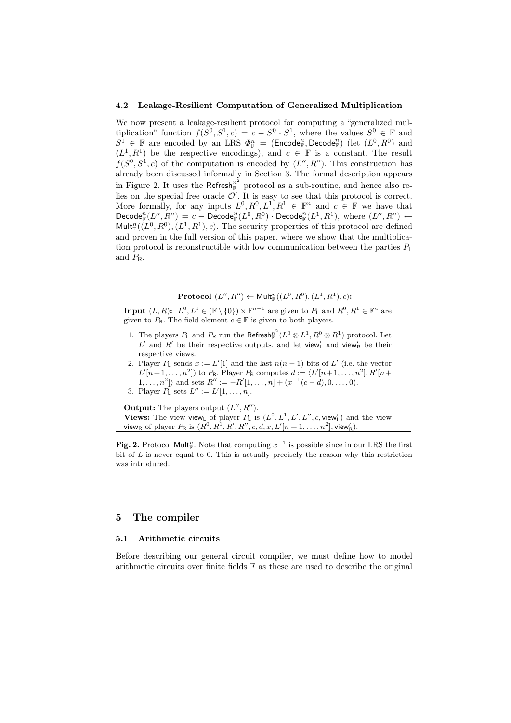#### 4.2 Leakage-Resilient Computation of Generalized Multiplication

We now present a leakage-resilient protocol for computing a "generalized multiplication" function  $f(S^0, S^1, c) = c - S^0 \cdot S^1$ , where the values  $S^0 \in \mathbb{F}$  and  $S^1 \in \mathbb{F}$  are encoded by an LRS  $\Phi_{\mathbb{F}}^n = (\text{Encode}_{\mathbb{F}}^n, \text{Decode}_{\mathbb{F}}^n)$  (let  $(L^0, R^0)$  and  $(L^1, R^1)$  be the respective encodings), and  $c \in \mathbb{F}$  is a constant. The result  $f(S^0, S^1, c)$  of the computation is encoded by  $(L'', R'')$ . This construction has already been discussed informally in Section 3. The formal description appears in Figure 2. It uses the  $\mathsf{Refresh}_{\mathbb{F}}^{n^2}$  protocol as a sub-routine, and hence also relies on the special free oracle  $\mathcal{O}'$ . It is easy to see that this protocol is correct. More formally, for any inputs  $L^0, R^0, L^1, R^1 \in \mathbb{F}^n$  and  $c \in \mathbb{F}$  we have that  $\mathsf{Decode}^n_{\mathbb{F}}(L'',R'')=c-\mathsf{Decode}^n_{\mathbb{F}}(L^0,R^0)\cdot \mathsf{Decode}^n_{\mathbb{F}}(L^1,R^1), \text{ where } (L'',R'')\leftarrow$  $\text{Mult}_{\mathbb{F}}^n(\overline{L}^0, R^0), (L^1, R^1), c$ . The security properties of this protocol are defined and proven in the full version of this paper, where we show that the multiplication protocol is reconstructible with low communication between the parties *P*<sup>L</sup> and *P*R.

 $\mathbf{Protocol}\,\,(L'',R'') \leftarrow \mathsf{Mult}_{\mathbb{F}}^n((L^0,R^0),(L^1,R^1),c)$ :

**Input**  $(L, R)$ :  $L^0, L^1 \in (\mathbb{F} \setminus \{0\}) \times \mathbb{F}^{n-1}$  are given to  $P_L$  and  $R^0, R^1 \in \mathbb{F}^n$  are given to  $P_R$ . The field element  $c \in \mathbb{F}$  is given to both players.

- 1. The players  $P_L$  and  $P_R$  run the Refresh<sup> $n^2$ </sup>  $\int_{\mathbb{F}}^{n^2} (L^0 \otimes L^1, R^0 \otimes R^1)$  protocol. Let L<sup>'</sup> and R<sup>'</sup> be their respective outputs, and let view<sup>'</sup><sub>L</sub> and view<sub>R</sub>' be their respective views.
- 2. Player  $P_L$  sends  $x := L'[1]$  and the last  $n(n-1)$  bits of  $L'$  (i.e. the vector  $L'[n+1, ..., n^2]$ ) to  $P_R$ . Player  $P_R$  computes  $d := \langle L'[n+1, ..., n^2], R'[n+1, ..., n^2] \rangle$  $|1, \ldots, n^2|$  and sets  $R'' := -R'[1, \ldots, n] + (x^{-1}(c-d), 0, \ldots, 0).$

3. Player  $P_{\text{L}}$  sets  $L'' := L'[1, \ldots, n].$ 

Output: The players output (*L ′′, R′′*). **Views:** The view view<sub>L</sub> of player  $P_L$  is  $(L^0, L^1, L', L'', c, \text{view}_L')$  and the view  ${\sf view}_{\sf R}$  of player  $P_{\sf R}$  is  $(R^0, R^1, R', R'', c, d, x, L'[n+1, \ldots, n^2], {\sf view}_{\sf R}'.$ 

Fig. 2. Protocol Mult<sub>*n*</sub></sub>. Note that computing  $x^{-1}$  is possible since in our LRS the first bit of *L* is never equal to 0. This is actually precisely the reason why this restriction was introduced.

## 5 The compiler

## 5.1 Arithmetic circuits

Before describing our general circuit compiler, we must define how to model arithmetic circuits over finite fields  $\mathbb F$  as these are used to describe the original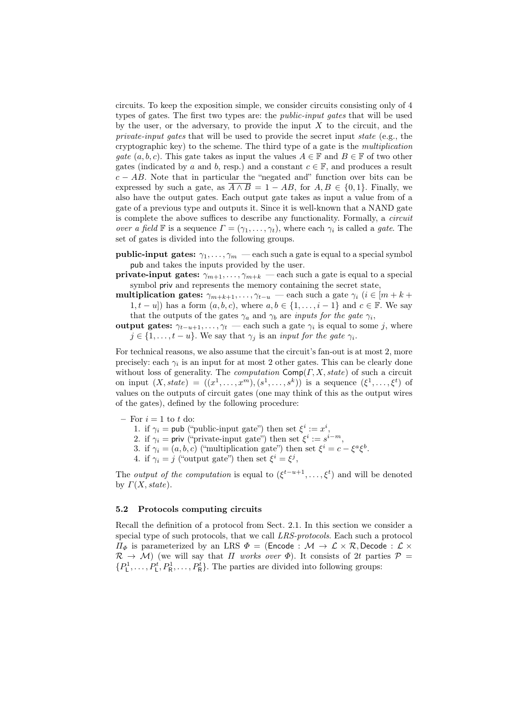circuits. To keep the exposition simple, we consider circuits consisting only of 4 types of gates. The first two types are: the *public-input gates* that will be used by the user, or the adversary, to provide the input  $X$  to the circuit, and the *private-input gates* that will be used to provide the secret input *state* (e.g., the cryptographic key) to the scheme. The third type of a gate is the *multiplication gate*  $(a, b, c)$ . This gate takes as input the values  $A \in \mathbb{F}$  and  $B \in \mathbb{F}$  of two other gates (indicated by *a* and *b*, resp.) and a constant  $c \in \mathbb{F}$ , and produces a result  $c - AB$ . Note that in particular the "negated and" function over bits can be expressed by such a gate, as  $\overline{A \wedge B} = 1 - AB$ , for  $A, B \in \{0, 1\}$ . Finally, we also have the output gates. Each output gate takes as input a value from of a gate of a previous type and outputs it. Since it is well-known that a NAND gate is complete the above suffices to describe any functionality. Formally, a *circuit over a field* **F** is a sequence  $\Gamma = (\gamma_1, \dots, \gamma_t)$ , where each  $\gamma_i$  is called a *gate*. The set of gates is divided into the following groups.

**public-input gates:**  $\gamma_1, \ldots, \gamma_m$  — each such a gate is equal to a special symbol pub and takes the inputs provided by the user.

**private-input gates:**  $\gamma_{m+1}, \ldots, \gamma_{m+k}$  — each such a gate is equal to a special symbol priv and represents the memory containing the secret state,

multiplication gates:  $\gamma_{m+k+1}, \ldots, \gamma_{t-u}$  — each such a gate  $\gamma_i$  ( $i \in [m+k+1]$ 1*, t* − *u*)) has a form  $(a, b, c)$ , where  $a, b \in \{1, \ldots, i - 1\}$  and  $c \in \mathbb{F}$ . We say that the outputs of the gates  $\gamma_a$  and  $\gamma_b$  are *inputs for the gate*  $\gamma_i$ ,

output gates:  $\gamma_{t-u+1}, \dots, \gamma_t$  — each such a gate  $\gamma_i$  is equal to some *j*, where  $j \in \{1, \ldots, t - u\}$ . We say that  $\gamma_j$  is an *input for the gate*  $\gamma_i$ .

For technical reasons, we also assume that the circuit's fan-out is at most 2, more precisely: each  $\gamma_i$  is an input for at most 2 other gates. This can be clearly done without loss of generality. The *computation* Comp(*Γ, X, state*) of such a circuit on input  $(X, state) = ((x^1, \ldots, x^m), (s^1, \ldots, s^k))$  is a sequence  $(\xi^1, \ldots, \xi^t)$  of values on the outputs of circuit gates (one may think of this as the output wires of the gates), defined by the following procedure:

- $-$  For  $i = 1$  to  $t$  do:
	- 1. if  $\gamma_i = \text{pub}$  ("public-input gate") then set  $\xi^i := x^i$ ,
	- 2. if  $\gamma_i = \text{priv} (\text{``private-input gate''}) \text{ then set } \xi^i := s^{i-m}$ ,
	- 3. if  $\gamma_i = (a, b, c)$  ("multiplication gate") then set  $\xi^i = c \xi^a \xi^b$ .
	- 4. if  $\gamma_i = j$  ("output gate") then set  $\xi^i = \xi^j$ ,

The *output of the computation* is equal to  $(\xi^{t-u+1}, \ldots, \xi^t)$  and will be denoted by *Γ*(*X, state*).

#### 5.2 Protocols computing circuits

Recall the definition of a protocol from Sect. 2.1. In this section we consider a special type of such protocols, that we call *LRS-protocols*. Each such a protocol *Π*<sup> $\phi$ </sup> is parameterized by an LRS  $\Phi$  = (Encode : *M*  $\rightarrow$  *L* × *R,* Decode : *L* ×  $\mathcal{R} \rightarrow \mathcal{M}$ ) (we will say that *Π* works over  $\Phi$ ). It consists of 2t parties  $\mathcal{P} =$  $\{P_1^1, \ldots, P_L^t, P_R^1, \ldots, P_R^t\}$ . The parties are divided into following groups: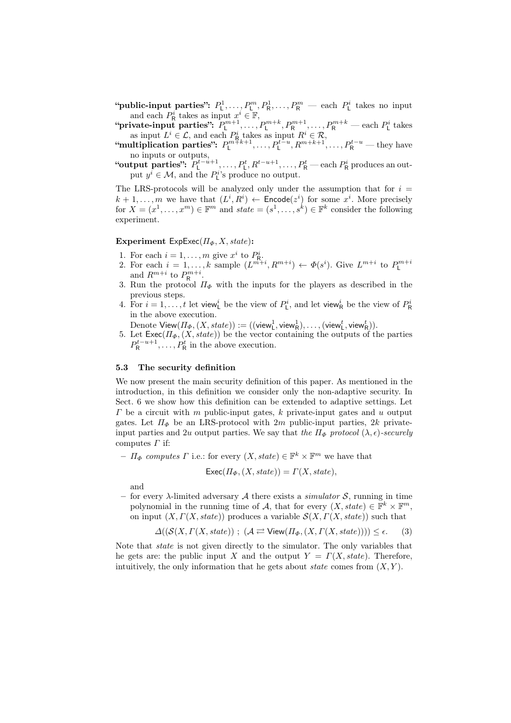"public-input parties":  $P_1^1, \ldots, P_k^m, P_k^1, \ldots, P_R^m$  — each  $P_1^i$  takes no input and each  $P^i_{\mathsf{R}}$  takes as input  $x^i \in \mathbb{F}$ ,

 $P_{\mathsf{L}}^{m+1},\ldots,P_{\mathsf{L}}^{m+1},P_{\mathsf{R}}^{m+1},\ldots,P_{\mathsf{R}}^{m+k}$  — each  $P_{\mathsf{L}}^i$  takes as input  $L^i \in \mathcal{L}$ , and each  $P^i_{\mathsf{R}}$  takes as input  $R^i \in \mathcal{R}$ ,

 $\text{``multiplication parties'': } P_{\text{L}}^{m+k+1}, \ldots, P_{\text{L}}^{t-u}, R^{m+k+1}, \ldots, P_{\text{R}}^{t-u} \text{— they have}$ no inputs or outputs,

"output parties":  $P_1^{t-u+1}, \ldots, P_L^t, R^{t-u+1}, \ldots, P_R^t$  — each  $P_R^i$  produces an output  $y^i \in \mathcal{M}$ , and the  $P^{i}_{\mathsf{L}}$ 's produce no output.

The LRS-protocols will be analyzed only under the assumption that for  $i =$  $k+1,\ldots,m$  we have that  $(L^i, R^i) \leftarrow$  Encode $(z^i)$  for some  $x^i$ . More precisely for  $X = (x^1, \ldots, x^m) \in \mathbb{F}^m$  and  $state = (s^1, \ldots, s^k) \in \mathbb{F}^k$  consider the following experiment.

### Experiment ExpExec(*ΠΦ, X, state*):

- 1. For each  $i = 1, \ldots, m$  give  $x^i$  to  $P^i_{\mathsf{R}}$ .
- 2. For each  $i = 1, ..., k$  sample  $(L^{m+i}, R^{m+i}) \leftarrow \Phi(s^i)$ . Give  $L^{m+i}$  to  $P_L^{m+i}$  and  $R^{m+i}$  to  $P_R^{m+i}$ .
- 3. Run the protocol *Π<sup>Φ</sup>* with the inputs for the players as described in the previous steps.
- 4. For  $i = 1, \ldots, t$  let view<sup>*i*</sup><sub>L</sub> be the view of  $P_{\text{L}}^i$ , and let view<sub>R</sub><sup>*i*</sup> be the view of  $P_{\text{R}}^i$ in the above execution.

 $\text{Denote View}(H_{\Phi}, (X, \text{state})) := ((\text{view}_L^1, \text{view}_R^1), \dots, (\text{view}_L^t, \text{view}_R^t)).$ 

5. Let  $\textsf{Exec}(H_{\Phi}, (X, state))$  be the vector containing the outputs of the parties  $P_{\mathsf{R}}^{t-u+1}, \ldots, P_{\mathsf{R}}^{t}$  in the above execution.

## 5.3 The security definition

We now present the main security definition of this paper. As mentioned in the introduction, in this definition we consider only the non-adaptive security. In Sect. 6 we show how this definition can be extended to adaptive settings. Let *Γ* be a circuit with *m* public-input gates, *k* private-input gates and *u* output gates. Let *Π<sup>Φ</sup>* be an LRS-protocol with 2*m* public-input parties, 2*k* privateinput parties and 2*u* output parties. We say that *the*  $\Pi_{\Phi}$  protocol  $(\lambda, \epsilon)$ -securely computes *Γ* if:

 $-I\mathcal{F}$  *computes*  $\Gamma$  i.e.: for every  $(X, state) \in \mathbb{F}^k \times \mathbb{F}^m$  we have that

$$
\mathsf{Exec}(H_{\Phi}, (X, state)) = \Gamma(X, state),
$$

and

for every  $\lambda$ -limited adversary  $\mathcal A$  there exists a *simulator*  $\mathcal S$ , running in time polynomial in the running time of *A*, that for every  $(X, state) \in \mathbb{F}^k \times \mathbb{F}^m$ , on input  $(X, \Gamma(X, \text{state}))$  produces a variable  $\mathcal{S}(X, \Gamma(X, \text{state}))$  such that

$$
\Delta((\mathcal{S}(X,\Gamma(X,\mathit{state}))\ ;\ (\mathcal{A} \rightleftarrows \mathsf{View}(\Pi_{\Phi},(X,\Gamma(X,\mathit{state})))) \leq \epsilon. \tag{3}
$$

Note that *state* is not given directly to the simulator. The only variables that he gets are: the public input *X* and the output  $Y = \Gamma(X, state)$ . Therefore, intuitively, the only information that he gets about *state* comes from  $(X, Y)$ .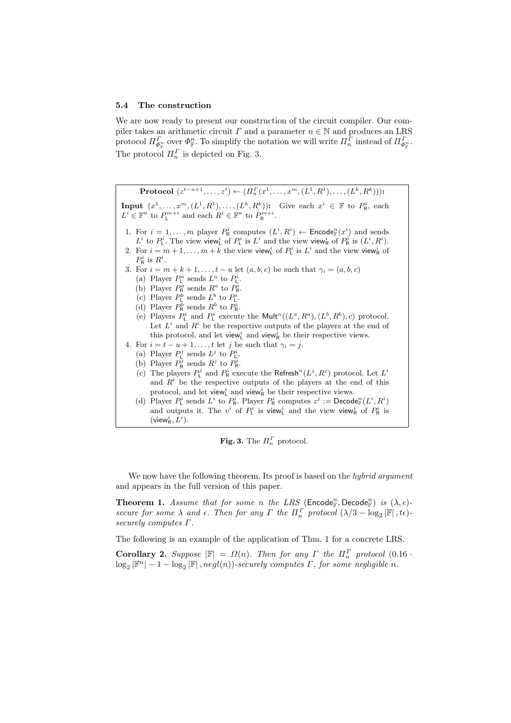#### 5.4 The construction

We are now ready to present our construction of the circuit compiler. Our compiler takes an arithmetic circuit *Γ* and a parameter  $n \in \mathbb{N}$  and produces an LRS protocol  $\Pi_{\Phi_{\mathbb{F}}^n}^{\Gamma}$  over  $\Phi_{\mathbb{F}}^n$ . To simplify the notation we will write  $\Pi_n^{\Gamma}$  instead of  $\Pi_{\Phi_{\mathbb{F}}^n}^{\Gamma}$ . The protocol  $\Pi_n^{\Gamma}$  is depicted on Fig. 3.

**Protocol**  $(z^{t-u+1},...,z^{t}) \leftarrow (\Pi_n^{\Gamma}(x^1,...,x^m,(L^1,R^1),...,(L^k,R^k)))$ : **Input**  $(x^1, \ldots, x^m, (L^1, R^1), \ldots, (L^k, R^k)$ : Give each  $x^i \in \mathbb{F}$  to  $P^i_{\mathsf{R}}$ , each  $L^i \in \mathbb{F}^n$  to  $P_{\mathsf{L}}^{m+i}$  and each  $R^i \in \mathbb{F}^n$  to  $P_{\mathsf{R}}^{m+i}$ . 1. For  $i = 1, ..., m$  player  $P^i_R$  computes  $(L^i, R^i) \leftarrow$  Encode<sub>*R*</sub></sub> $(x^i)$  and sends  $L^i$  to  $P^i_L$ . The view view<sup>*i*</sup> of  $P^i_L$  is  $L^i$  and the view view<sup>*i*</sup><sub>R</sub> of  $P^i_R$  is  $(L^i, R^i)$ . 2. For  $i = m + 1, \ldots, m + k$  the view view<sup>*i*</sup> of  $P_{\text{L}}^i$  is  $L^i$  and the view view<sup>*i*</sup> of  $P^i_{\mathsf{R}}$  is  $R^i$ . 3. For  $i = m + k + 1, \ldots, t - u$  let  $(a, b, c)$  be such that  $\gamma_i = (a, b, c)$ (a) Player  $P_{\rm L}^a$  sends  $L^a$  to  $P_{\rm L}^i$ . (a) Player  $P_R^a$  sends  $R^a$  to  $P_R^i$ .<br>(b) Player  $P_R^a$  sends  $R^a$  to  $P_R^i$ . (c) Player  $P^b$  sends  $L^b$  to  $P^i$ . (d) Player  $P^b_R$  sends  $R^b$  to  $P^i_R$ . (e) Players  $P^i$  and  $P^i$  execute the Mult<sup>n</sup>( $(L^a, R^a)$ ,  $(L^b, R^b)$ , *c*) protocol. Let  $L^i$  and  $R^i$  be the respective outputs of the players at the end of this protocol, and let view<sup>*i*</sup> and view<sup>*i*</sup><sub>R</sub> be their respective views. 4. For  $i = t - u + 1, \ldots, t$  let *j* be such that  $\gamma_i = j$ . (a) Player  $P_{\mathsf{L}}^j$  sends  $L^j$  to  $P_{\mathsf{L}}^i$ . (b) Player  $P_R^j$  sends  $R^j$  to  $P_R^i$ . (c) The players  $P_{\text{L}}^j$  and  $P_{\text{R}}^i$  execute the Refresh<sup>n</sup> $(L^j, R^j)$  protocol. Let  $L^i$ and  $R<sup>i</sup>$  be the respective outputs of the players at the end of this protocol, and let view<sup>*i*</sup><sub>k</sub> and view<sub>R</sub><sup>*i*</sup> be their respective views. (d) Player  $P^i_\text{L}$  sends  $L^i$  to  $P^i_\text{R}$ . Player  $P^i_\text{R}$  computes  $z^j := \text{Decode}_\mathbb{F}^n(L^i, R^i)$ and outputs it. The  $v^i$  of  $P^i_L$  is view<sup>*i*</sup> and the view view<sup>*i*</sup><sub>R</sub> of  $P^i_R$  is  $(\mathsf{view}_\mathsf{R}^i, L^i)$ .

Fig. 3. The  $\Pi_n^{\Gamma}$  protocol.

We now have the following theorem. Its proof is based on the *hybrid argument* and appears in the full version of this paper.

**Theorem 1.** Assume that for some *n* the LRS (Encode<sup>n</sup><sub>F</sub>), Decode<sup>n</sup><sub>F</sub>) is  $(\lambda, \epsilon)$ *secure for some*  $\lambda$  *and*  $\epsilon$ *. Then for any*  $\Gamma$  *the*  $\Pi_n^{\Gamma}$  *protocol*  $(\lambda/3 - \log_2 |\mathbb{F}|, t\epsilon)$ *securely computes Γ.*

The following is an example of the application of Thm. 1 for a concrete LRS.

**Corollary 2.** Suppose  $|\mathbb{F}| = \Omega(n)$ . Then for any *Γ* the  $\Pi_n^{\Gamma}$  protocol (0.16 *·*  $\log_2 |\mathbb{F}^n| - 1 - \log_2 |\mathbb{F}|$ ,  $negl(n)$ )-securely computes  $\Gamma$ , for some negligible  $n$ .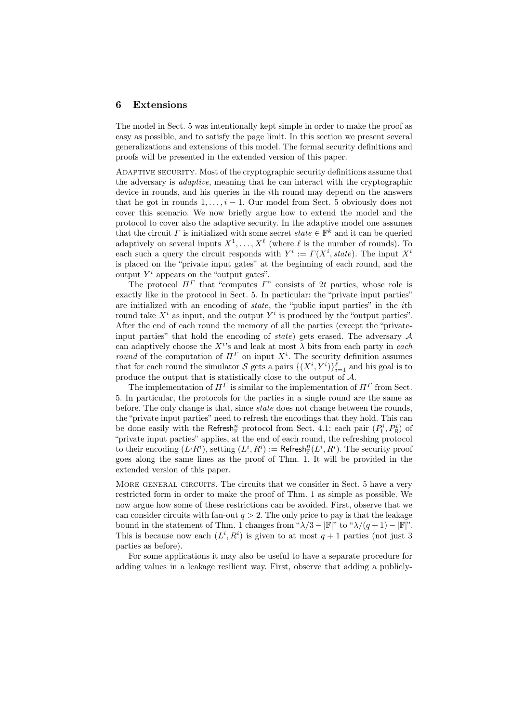## 6 Extensions

The model in Sect. 5 was intentionally kept simple in order to make the proof as easy as possible, and to satisfy the page limit. In this section we present several generalizations and extensions of this model. The formal security definitions and proofs will be presented in the extended version of this paper.

Adaptive security. Most of the cryptographic security definitions assume that the adversary is *adaptive*, meaning that he can interact with the cryptographic device in rounds, and his queries in the *i*th round may depend on the answers that he got in rounds  $1, \ldots, i-1$ . Our model from Sect. 5 obviously does not cover this scenario. We now briefly argue how to extend the model and the protocol to cover also the adaptive security. In the adaptive model one assumes that the circuit *Γ* is initialized with some secret  $state \in \mathbb{F}^k$  and it can be queried adaptively on several inputs  $X^1, \ldots, X^{\ell}$  (where  $\ell$  is the number of rounds). To each such a query the circuit responds with  $Y^i := \Gamma(X^i, state)$ . The input  $X^i$ is placed on the "private input gates" at the beginning of each round, and the output  $Y^i$  appears on the "output gates".

The protocol  $\Pi^{\Gamma}$  that "computes  $\Gamma$ " consists of 2t parties, whose role is exactly like in the protocol in Sect. 5. In particular: the "private input parties" are initialized with an encoding of *state*, the "public input parties" in the *i*th round take  $X^i$  as input, and the output  $Y^i$  is produced by the "output parties". After the end of each round the memory of all the parties (except the "privateinput parties" that hold the encoding of *state*) gets erased. The adversary *A* can adaptively choose the  $X^{i}$ 's and leak at most  $\lambda$  bits from each party in *each round* of the computation of  $\Pi^{\Gamma}$  on input  $X^i$ . The security definition assumes that for each round the simulator *S* gets a pairs  $\{(X^i, Y^i)\}_{i=1}^{\ell}$  and his goal is to produce the output that is statistically close to the output of *A*.

The implementation of  $\Pi^{\Gamma}$  is similar to the implementation of  $\Pi^{\Gamma}$  from Sect. 5. In particular, the protocols for the parties in a single round are the same as before. The only change is that, since *state* does not change between the rounds, the "private input parties" need to refresh the encodings that they hold. This can be done easily with the Refresh<sub>*n*</sub></sub> protocol from Sect. 4.1: each pair  $(P^i_L, P^i_R)$  of "private input parties" applies, at the end of each round, the refreshing protocol to their encoding  $(L^i R^i)$ , setting  $(L^i, R^i) :=$  Refresh $_{\mathbb{F}}^n(L^i, R^i)$ . The security proof goes along the same lines as the proof of Thm. 1. It will be provided in the extended version of this paper.

MORE GENERAL CIRCUITS. The circuits that we consider in Sect. 5 have a very restricted form in order to make the proof of Thm. 1 as simple as possible. We now argue how some of these restrictions can be avoided. First, observe that we can consider circuits with fan-out  $q > 2$ . The only price to pay is that the leakage bound in the statement of Thm. 1 changes from " $\lambda/3 - |\mathbb{F}|$ " to " $\lambda/(q+1) - |\mathbb{F}|$ ". This is because now each  $(L^i, R^i)$  is given to at most  $q + 1$  parties (not just 3) parties as before).

For some applications it may also be useful to have a separate procedure for adding values in a leakage resilient way. First, observe that adding a publicly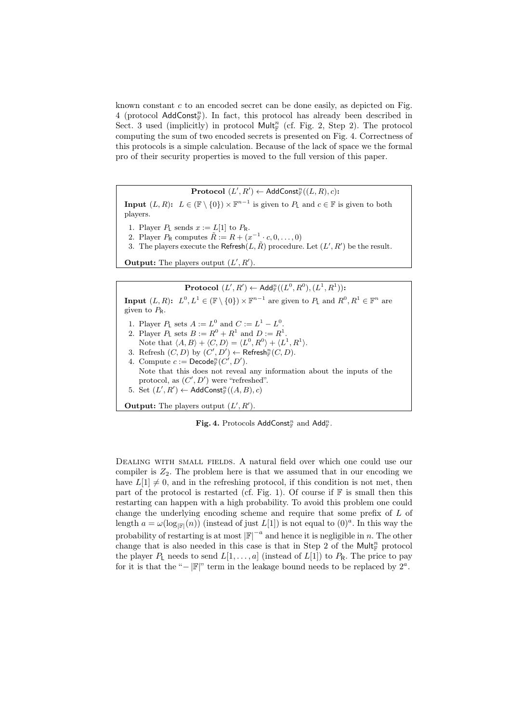known constant *c* to an encoded secret can be done easily, as depicted on Fig. 4 (protocol AddConst<sup>n</sup><sub>F</sub>). In fact, this protocol has already been described in Sect. 3 used (implicitly) in protocol  $\text{Mult}_{\mathbb{F}}^n$  (cf. Fig. 2, Step 2). The protocol computing the sum of two encoded secrets is presented on Fig. 4. Correctness of this protocols is a simple calculation. Because of the lack of space we the formal pro of their security properties is moved to the full version of this paper.

 $\mathbf{Protocol}(L', R') \leftarrow \mathsf{AddConst}_\mathbb{F}^n((L, R), c)$ :

**Input**  $(L, R)$ :  $L \in (\mathbb{F} \setminus \{0\}) \times \mathbb{F}^{n-1}$  is given to  $P_L$  and  $c \in \mathbb{F}$  is given to both players.

- 1. Player  $P_L$  sends  $x := L[1]$  to  $P_R$ .
- 2. Player  $P_R$  computes  $\tilde{R} := R + (x^{-1} \cdot c, 0, \dots, 0)$
- 3. The players execute the Refresh $(L, \tilde{R})$  procedure. Let  $(L', R')$  be the result.

**Output:** The players output  $(L', R')$ .

 ${\bf Protocol}\,\, (L',R') \leftarrow {\sf Add}_{\mathbb{F}}^n((L^0,R^0),(L^1,R^1))$ :

**Input**  $(L, R)$ :  $L^0, L^1 \in (\mathbb{F} \setminus \{0\}) \times \mathbb{F}^{n-1}$  are given to  $P_L$  and  $R^0, R^1 \in \mathbb{F}^n$  are given to *P*R. 1. Player *P*<sub>L</sub> sets  $A := L^0$  and  $C := L^1 - L^0$ . 2. Player  $P_L$  sets  $B := R^0 + R^1$  and  $D := R^1$ . Note that  $\langle A, B \rangle + \langle C, D \rangle = \langle L^0, R^0 \rangle + \langle L^1, R^1 \rangle$ . 3. Refresh  $(C, D)$  by  $(C', D') \leftarrow$  Refresh $_{\mathbb{F}}^{n}(C, D)$ . 4. Compute  $c := \textsf{Decode}_\mathbb{F}^n(C', D').$ Note that this does not reveal any information about the inputs of the protocol, as  $(C', D')$  were "refreshed". 5. Set  $(L', R') \leftarrow \textsf{AddConst}_{\mathbb{F}}^n((A, B), c)$ 

**Output:** The players output  $(L', R')$ .

 $\mathbf{Fig. 4.}$  Protocols AddConst<sub> $\mathbb{F}$ </sub> and Add<sub> $\mathbb{F}$ </sub>.

DEALING WITH SMALL FIELDS. A natural field over which one could use our compiler is  $Z_2$ . The problem here is that we assumed that in our encoding we have  $L[1] \neq 0$ , and in the refreshing protocol, if this condition is not met, then part of the protocol is restarted (cf. Fig. 1). Of course if  $F$  is small then this restarting can happen with a high probability. To avoid this problem one could change the underlying encoding scheme and require that some prefix of *L* of length  $a = \omega(\log_{|\mathbb{F}|}(n))$  (instead of just *L*[1]) is not equal to  $(0)^a$ . In this way the probability of restarting is at most  $|\mathbb{F}|^{-a}$  and hence it is negligible in *n*. The other change that is also needed in this case is that in Step 2 of the  $\mathsf{Mult}^n_{\mathbb{F}}$  protocol the player *P*<sub>L</sub> needs to send  $L[1,\ldots,a]$  (instead of  $L[1]$ ) to  $P_R$ . The price to pay for it is that the "*−* |F|" term in the leakage bound needs to be replaced by  $2^a$ .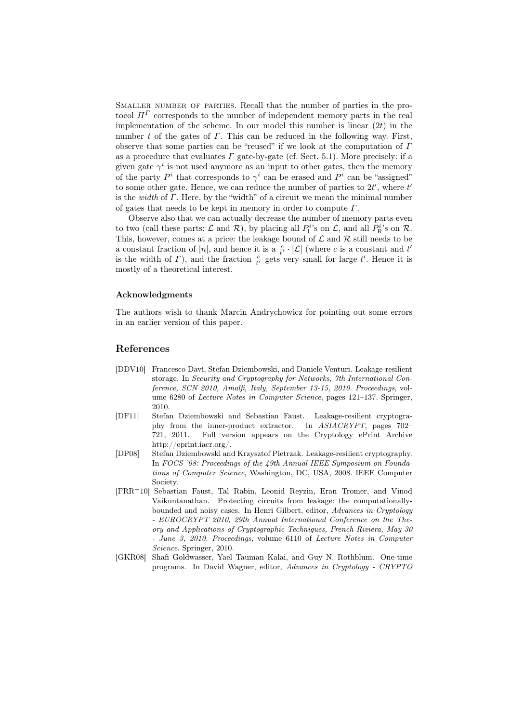Smaller number of parties. Recall that the number of parties in the protocol  $\Pi^{\Gamma}$  corresponds to the number of independent memory parts in the real implementation of the scheme. In our model this number is linear (2*t*) in the number *t* of the gates of *Γ*. This can be reduced in the following way. First, observe that some parties can be "reused" if we look at the computation of *Γ* as a procedure that evaluates  $\Gamma$  gate-by-gate (cf. Sect. 5.1). More precisely: if a given gate  $\gamma^i$  is not used anymore as an input to other gates, then the memory of the party  $P^i$  that corresponds to  $\gamma^i$  can be erased and  $P^i$  can be "assigned" to some other gate. Hence, we can reduce the number of parties to 2*t ′* , where *t ′* is the *width* of *Γ*. Here, by the "width" of a circuit we mean the minimal number of gates that needs to be kept in memory in order to compute *Γ*.

Observe also that we can actually decrease the number of memory parts even to two (call these parts:  $\mathcal{L}$  and  $\mathcal{R}$ ), by placing all  $P_{\mathsf{L}}^{i}$ 's on  $\mathcal{L}$ , and all  $P_{\mathsf{R}}^{i}$ 's on  $\mathcal{R}$ . This, however, comes at a price: the leakage bound of  $\mathcal L$  and  $\mathcal R$  still needs to be a constant fraction of  $|n|$ , and hence it is a  $\frac{c}{t'} \cdot |\mathcal{L}|$  (where *c* is a constant and *t'* is the width of *Γ*), and the fraction  $\frac{c}{t'}$  gets very small for large *t'*. Hence it is mostly of a theoretical interest.

## Acknowledgments

The authors wish to thank Marcin Andrychowicz for pointing out some errors in an earlier version of this paper.

## References

- [DDV10] Francesco Davì, Stefan Dziembowski, and Daniele Venturi. Leakage-resilient storage. In *Security and Cryptography for Networks, 7th International Conference, SCN 2010, Amalfi, Italy, September 13-15, 2010. Proceedings*, volume 6280 of *Lecture Notes in Computer Science*, pages 121–137. Springer, 2010.
- [DF11] Stefan Dziembowski and Sebastian Faust. Leakage-resilient cryptography from the inner-product extractor. In *ASIACRYPT*, pages 702– 721, 2011. Full version appears on the Cryptology ePrint Archive http://eprint.iacr.org/.
- [DP08] Stefan Dziembowski and Krzysztof Pietrzak. Leakage-resilient cryptography. In *FOCS '08: Proceedings of the 49th Annual IEEE Symposium on Foundations of Computer Science*, Washington, DC, USA, 2008. IEEE Computer Society.
- [FRR<sup>+</sup>10] Sebastian Faust, Tal Rabin, Leonid Reyzin, Eran Tromer, and Vinod Vaikuntanathan. Protecting circuits from leakage: the computationallybounded and noisy cases. In Henri Gilbert, editor, *Advances in Cryptology - EUROCRYPT 2010, 29th Annual International Conference on the Theory and Applications of Cryptographic Techniques, French Riviera, May 30 - June 3, 2010. Proceedings*, volume 6110 of *Lecture Notes in Computer Science*. Springer, 2010.
- [GKR08] Shafi Goldwasser, Yael Tauman Kalai, and Guy N. Rothblum. One-time programs. In David Wagner, editor, *Advances in Cryptology - CRYPTO*